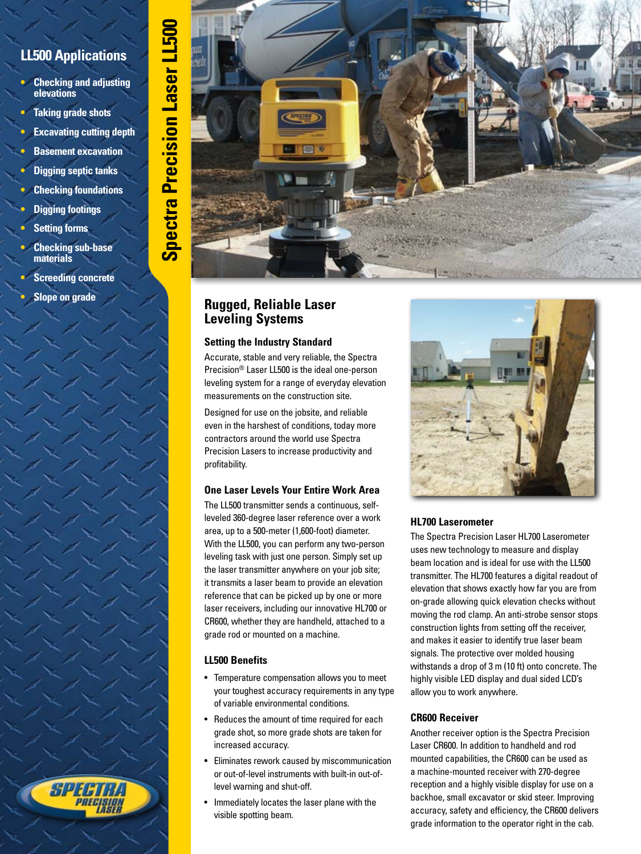## **LL500 Applications**

- **• Checking and adjusting elevations**
- **• Taking grade shots**
- **Excavating cutting depth**

**Spectra Precision Laser LL500Spectra Precision Laser LL500** 

- **Basement excavation**
- **Digging septic tanks**
- **• Checking foundations**
- **• Digging footings**
- **Setting forms**
- **• Checking sub-base materials**
- **• Screeding concrete**
	- **• Slope on grade**

SPF

## **Rugged, Reliable Laser Leveling Systems**

## **Setting the Industry Standard**

Accurate, stable and very reliable, the Spectra Precision® Laser LL500 is the ideal one-person leveling system for a range of everyday elevation measurements on the construction site.

Designed for use on the jobsite, and reliable even in the harshest of conditions, today more contractors around the world use Spectra Precision Lasers to increase productivity and profitability.

## **One Laser Levels Your Entire Work Area**

The LL500 transmitter sends a continuous, selfleveled 360-degree laser reference over a work area, up to a 500-meter (1,600-foot) diameter. With the LL500, you can perform any two-person leveling task with just one person. Simply set up the laser transmitter anywhere on your job site; it transmits a laser beam to provide an elevation reference that can be picked up by one or more laser receivers, including our innovative HL700 or CR600, whether they are handheld, attached to a grade rod or mounted on a machine.

## **LL500 Benefits**

- Temperature compensation allows you to meet your toughest accuracy requirements in any type of variable environmental conditions.
- Reduces the amount of time required for each grade shot, so more grade shots are taken for increased accuracy.
- Eliminates rework caused by miscommunication or out-of-level instruments with built-in out-oflevel warning and shut-off.
- Immediately locates the laser plane with the visible spotting beam.



## **HL700 Laserometer**

The Spectra Precision Laser HL700 Laserometer uses new technology to measure and display beam location and is ideal for use with the LL500 transmitter. The HL700 features a digital readout of elevation that shows exactly how far you are from on-grade allowing quick elevation checks without moving the rod clamp. An anti-strobe sensor stops construction lights from setting off the receiver, and makes it easier to identify true laser beam signals. The protective over molded housing withstands a drop of 3 m (10 ft) onto concrete. The highly visible LED display and dual sided LCD's allow you to work anywhere.

## **CR600 Receiver**

Another receiver option is the Spectra Precision Laser CR600. In addition to handheld and rod mounted capabilities, the CR600 can be used as a machine-mounted receiver with 270-degree reception and a highly visible display for use on a backhoe, small excavator or skid steer. Improving accuracy, safety and efficiency, the CR600 delivers grade information to the operator right in the cab.